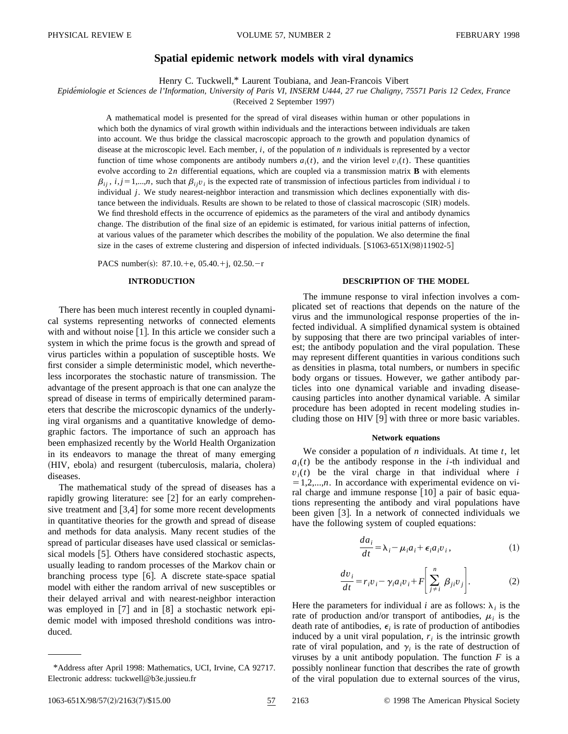# **Spatial epidemic network models with viral dynamics**

Henry C. Tuckwell,\* Laurent Toubiana, and Jean-Francois Vibert

*Epide´miologie et Sciences de l'Information, University of Paris VI, INSERM U444, 27 rue Chaligny, 75571 Paris 12 Cedex, France*

(Received 2 September 1997)

A mathematical model is presented for the spread of viral diseases within human or other populations in which both the dynamics of viral growth within individuals and the interactions between individuals are taken into account. We thus bridge the classical macroscopic approach to the growth and population dynamics of disease at the microscopic level. Each member, *i*, of the population of *n* individuals is represented by a vector function of time whose components are antibody numbers  $a_i(t)$ , and the virion level  $v_i(t)$ . These quantities evolve according to 2*n* differential equations, which are coupled via a transmission matrix **B** with elements  $\beta_{ij}$ ,  $i, j = 1,...,n$ , such that  $\beta_{ij}v_j$  is the expected rate of transmission of infectious particles from individual *i* to individual *j*. We study nearest-neighbor interaction and transmission which declines exponentially with distance between the individuals. Results are shown to be related to those of classical macroscopic (SIR) models. We find threshold effects in the occurrence of epidemics as the parameters of the viral and antibody dynamics change. The distribution of the final size of an epidemic is estimated, for various initial patterns of infection, at various values of the parameter which describes the mobility of the population. We also determine the final size in the cases of extreme clustering and dispersion of infected individuals.  $[**S1063-651X(98)11902-5**]$ 

PACS number(s):  $87.10.+e$ ,  $05.40.+j$ ,  $02.50.-r$ 

# **INTRODUCTION**

There has been much interest recently in coupled dynamical systems representing networks of connected elements with and without noise  $[1]$ . In this article we consider such a system in which the prime focus is the growth and spread of virus particles within a population of susceptible hosts. We first consider a simple deterministic model, which nevertheless incorporates the stochastic nature of transmission. The advantage of the present approach is that one can analyze the spread of disease in terms of empirically determined parameters that describe the microscopic dynamics of the underlying viral organisms and a quantitative knowledge of demographic factors. The importance of such an approach has been emphasized recently by the World Health Organization in its endeavors to manage the threat of many emerging (HIV, ebola) and resurgent (tuberculosis, malaria, cholera) diseases.

The mathematical study of the spread of diseases has a rapidly growing literature: see  $[2]$  for an early comprehensive treatment and  $[3,4]$  for some more recent developments in quantitative theories for the growth and spread of disease and methods for data analysis. Many recent studies of the spread of particular diseases have used classical or semiclassical models [5]. Others have considered stochastic aspects, usually leading to random processes of the Markov chain or branching process type  $[6]$ . A discrete state-space spatial model with either the random arrival of new susceptibles or their delayed arrival and with nearest-neighbor interaction was employed in  $[7]$  and in  $[8]$  a stochastic network epidemic model with imposed threshold conditions was introduced.

# **DESCRIPTION OF THE MODEL**

The immune response to viral infection involves a complicated set of reactions that depends on the nature of the virus and the immunological response properties of the infected individual. A simplified dynamical system is obtained by supposing that there are two principal variables of interest; the antibody population and the viral population. These may represent different quantities in various conditions such as densities in plasma, total numbers, or numbers in specific body organs or tissues. However, we gather antibody particles into one dynamical variable and invading diseasecausing particles into another dynamical variable. A similar procedure has been adopted in recent modeling studies including those on HIV  $[9]$  with three or more basic variables.

## **Network equations**

We consider a population of *n* individuals. At time *t*, let  $a_i(t)$  be the antibody response in the *i*-th individual and  $v_i(t)$  be the viral charge in that individual where *i*  $=1,2,...,n$ . In accordance with experimental evidence on viral charge and immune response  $[10]$  a pair of basic equations representing the antibody and viral populations have been given  $[3]$ . In a network of connected individuals we have the following system of coupled equations:

$$
\frac{da_i}{dt} = \lambda_i - \mu_i a_i + \epsilon_i a_i v_i, \qquad (1)
$$

$$
\frac{dv_i}{dt} = r_i v_i - \gamma_i a_i v_i + F \left[ \sum_{j=i}^n \beta_{ji} v_j \right].
$$
 (2)

Here the parameters for individual *i* are as follows:  $\lambda_i$  is the rate of production and/or transport of antibodies,  $\mu_i$  is the death rate of antibodies,  $\epsilon_i$  is rate of production of antibodies induced by a unit viral population,  $r_i$  is the intrinsic growth rate of viral population, and  $\gamma_i$  is the rate of destruction of viruses by a unit antibody population. The function *F* is a possibly nonlinear function that describes the rate of growth of the viral population due to external sources of the virus,

<sup>\*</sup>Address after April 1998: Mathematics, UCI, Irvine, CA 92717. Electronic address: tuckwell@b3e.jussieu.fr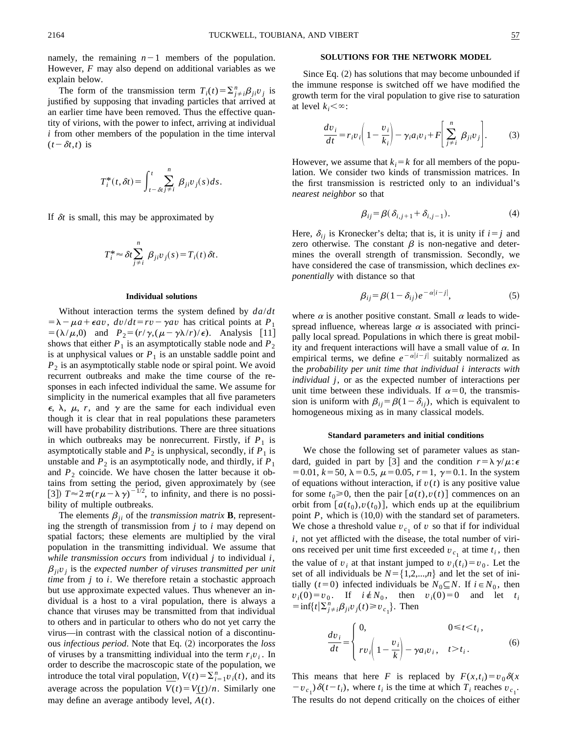namely, the remaining  $n-1$  members of the population. However, *F* may also depend on additional variables as we explain below.

The form of the transmission term  $T_i(t) = \sum_{j \neq i}^n \beta_{ji} v_j$  is justified by supposing that invading particles that arrived at an earlier time have been removed. Thus the effective quantity of virions, with the power to infect, arriving at individual *i* from other members of the population in the time interval  $(t-\delta t,t)$  is

$$
T_i^*(t,\delta t) = \int_{t-\delta t}^t \sum_{j \neq i}^n \beta_{ji} v_j(s) ds.
$$

If  $\delta t$  is small, this may be approximated by

$$
T_i^* \approx \delta t \sum_{j \neq i}^n \beta_{ji} v_j(s) = T_i(t) \delta t.
$$

### **Individual solutions**

Without interaction terms the system defined by *da*/*dt*  $= \lambda - \mu a + \epsilon a v$ ,  $dv/dt = rv - \gamma a v$  has critical points at  $P_1$  $= (\lambda/\mu,0)$  and  $P_2 = (r/\gamma,(\mu-\gamma\lambda/r)/\epsilon)$ . Analysis [11] shows that either  $P_1$  is an asymptotically stable node and  $P_2$ is at unphysical values or  $P_1$  is an unstable saddle point and  $P_2$  is an asymptotically stable node or spiral point. We avoid recurrent outbreaks and make the time course of the responses in each infected individual the same. We assume for simplicity in the numerical examples that all five parameters  $\epsilon$ ,  $\lambda$ ,  $\mu$ ,  $r$ , and  $\gamma$  are the same for each individual even though it is clear that in real populations these parameters will have probability distributions. There are three situations in which outbreaks may be nonrecurrent. Firstly, if  $P_1$  is asymptotically stable and  $P_2$  is unphysical, secondly, if  $P_1$  is unstable and  $P_2$  is an asymptotically node, and thirdly, if  $P_1$ and  $P_2$  coincide. We have chosen the latter because it obtains from setting the period, given approximately by (see [3])  $T \approx 2\pi (r\mu - \lambda \gamma)^{-1/2}$ , to infinity, and there is no possibility of multiple outbreaks.

The elements  $\beta_{ji}$  of the *transmission matrix* **B**, representing the strength of transmission from *j* to *i* may depend on spatial factors; these elements are multiplied by the viral population in the transmitting individual. We assume that *while transmission occurs* from individual *j* to individual *i*,  $\beta_{ii}v_i$  is the *expected number of viruses transmitted per unit time* from *j* to *i*. We therefore retain a stochastic approach but use approximate expected values. Thus whenever an individual is a host to a viral population, there is always a chance that viruses may be transmitted from that individual to others and in particular to others who do not yet carry the virus—in contrast with the classical notion of a discontinuous *infectious period*. Note that Eq. (2) incorporates the *loss* of viruses by a transmitting individual into the term  $r_i v_i$ . In order to describe the macroscopic state of the population, we introduce the total viral population,  $V(t) = \sum_{i=1}^{n} v_i(t)$ , and its introduce the total viral population,  $V(t) = \sum_{i=1}^{n} v_i(t)$ , and its average across the population  $\overline{V}(t) = V(t)/n$ . Similarly one average across the population  $V(t) = V(t)/r$ <br>may define an average antibody level,  $\overline{A}(t)$ .

# **SOLUTIONS FOR THE NETWORK MODEL**

Since Eq.  $(2)$  has solutions that may become unbounded if the immune response is switched off we have modified the growth term for the viral population to give rise to saturation at level  $k_i<\infty$ :

$$
\frac{dv_i}{dt} = r_i v_i \left( 1 - \frac{v_i}{k_i} \right) - \gamma_i a_i v_i + F \left[ \sum_{j \neq i}^n \beta_{ji} v_j \right].
$$
 (3)

However, we assume that  $k_i = k$  for all members of the population. We consider two kinds of transmission matrices. In the first transmission is restricted only to an individual's *nearest neighbor* so that

$$
\beta_{ij} = \beta(\delta_{i,j+1} + \delta_{i,j-1}).\tag{4}
$$

Here,  $\delta_{ij}$  is Kronecker's delta; that is, it is unity if  $i=j$  and zero otherwise. The constant  $\beta$  is non-negative and determines the overall strength of transmission. Secondly, we have considered the case of transmission, which declines *exponentially* with distance so that

$$
\beta_{ij} = \beta (1 - \delta_{ij}) e^{-\alpha |i - j|}, \tag{5}
$$

where  $\alpha$  is another positive constant. Small  $\alpha$  leads to widespread influence, whereas large  $\alpha$  is associated with principally local spread. Populations in which there is great mobility and frequent interactions will have a small value of  $\alpha$ . In empirical terms, we define  $e^{-\alpha|i-j|}$  suitably normalized as the *probability per unit time that individual i interacts with individual j*, or as the expected number of interactions per unit time between these individuals. If  $\alpha=0$ , the transmission is uniform with  $\beta_{ij} = \beta(1 - \delta_{ij})$ , which is equivalent to homogeneous mixing as in many classical models.

#### **Standard parameters and initial conditions**

We chose the following set of parameter values as standard, guided in part by [3] and the condition  $r = \lambda \gamma / \mu$ :  $\epsilon$  $= 0.01, k = 50, \lambda = 0.5, \mu = 0.05, r = 1, \gamma = 0.1$ . In the system of equations without interaction, if  $v(t)$  is any positive value for some  $t_0 \ge 0$ , then the pair  $[a(t),v(t)]$  commences on an orbit from  $[a(t_0), v(t_0)]$ , which ends up at the equilibrium point  $P$ , which is  $(10,0)$  with the standard set of parameters. We chose a threshold value  $v_{c_1}$  of  $v$  so that if for individual *i*, not yet afflicted with the disease, the total number of virions received per unit time first exceeded  $v_{c_1}$  at time  $t_i$ , then the value of  $v_i$  at that instant jumped to  $v_i(t_i) = v_0$ . Let the set of all individuals be  $N = \{1,2,...,n\}$  and let the set of initially (*t*=0) infected individuals be  $N_0 \subseteq N$ . If  $i \in N_0$ , then  $v_i(0) = v_0$ . If  $i \notin N_0$ , then  $v_i(0) = 0$  and let  $t_i$  $=\inf\{t|\sum_{j\neq i}^{n}\beta_{ji}v_j(t)\geq v_{c_1}\}.$  Then

$$
\frac{dv_i}{dt} = \begin{cases} 0, & 0 \le t < t_i, \\ rv_i \left(1 - \frac{v_i}{k}\right) - \gamma a_i v_i, & t > t_i. \end{cases}
$$
(6)

This means that here *F* is replaced by  $F(x,t_i) = v_0 \delta(x)$  $(v - v_{c_1})\delta(t - t_i)$ , where  $t_i$  is the time at which  $T_i$  reaches  $v_{c_1}$ . The results do not depend critically on the choices of either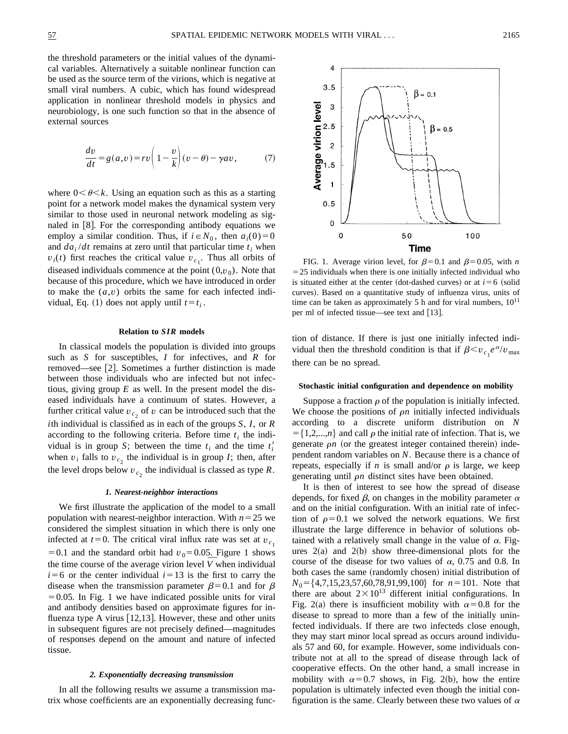the threshold parameters or the initial values of the dynamical variables. Alternatively a suitable nonlinear function can be used as the source term of the virions, which is negative at small viral numbers. A cubic, which has found widespread application in nonlinear threshold models in physics and neurobiology, is one such function so that in the absence of external sources

$$
\frac{dv}{dt} = g(a,v) = rv\left(1 - \frac{v}{k}\right)(v - \theta) - \gamma av,\tag{7}
$$

where  $0<\theta< k$ . Using an equation such as this as a starting point for a network model makes the dynamical system very similar to those used in neuronal network modeling as signaled in  $[8]$ . For the corresponding antibody equations we employ a similar condition. Thus, if  $i \in N_0$ , then  $a_i(0)=0$ and  $da_i/dt$  remains at zero until that particular time  $t_i$  when  $v_i(t)$  first reaches the critical value  $v_{c_1}$ . Thus all orbits of diseased individuals commence at the point  $(0, v_0)$ . Note that because of this procedure, which we have introduced in order to make the  $(a, v)$  orbits the same for each infected individual, Eq. (1) does not apply until  $t=t_i$ .

### **Relation to** *SIR* **models**

In classical models the population is divided into groups such as *S* for susceptibles, *I* for infectives, and *R* for removed—see [2]. Sometimes a further distinction is made between those individuals who are infected but not infectious, giving group *E* as well. In the present model the diseased individuals have a continuum of states. However, a further critical value  $v_c$  of  $v$  can be introduced such that the *i*th individual is classified as in each of the groups *S*, *I*, or *R* according to the following criteria. Before time  $t_i$  the individual is in group *S*; between the time  $t_i$  and the time  $t'_i$ when  $v_i$  falls to  $v_{c_2}$ , the individual is in group *I*; then, after the level drops below  $v_{c}$ , the individual is classed as type  $R$ .

### *1. Nearest-neighbor interactions*

We first illustrate the application of the model to a small population with nearest-neighbor interaction. With  $n=25$  we considered the simplest situation in which there is only one infected at  $t=0$ . The critical viral influx rate was set at  $v_{c_1}$ = 0.1 and the standard orbit had  $v_0$ = 0.05. Figure 1 shows =0.1 and the standard orbit had  $v_0$ =0.05. Figure 1 shows the time course of the average virion level  $\overline{V}$  when individual  $i=6$  or the center individual  $i=13$  is the first to carry the disease when the transmission parameter  $\beta$ =0.1 and for  $\beta$  $=0.05$ . In Fig. 1 we have indicated possible units for viral and antibody densities based on approximate figures for influenza type A virus  $\vert 12,13 \vert$ . However, these and other units in subsequent figures are not precisely defined—magnitudes of responses depend on the amount and nature of infected tissue.

# *2. Exponentially decreasing transmission*

In all the following results we assume a transmission matrix whose coefficients are an exponentially decreasing func-



FIG. 1. Average virion level, for  $\beta=0.1$  and  $\beta=0.05$ , with *n*  $=$  25 individuals when there is one initially infected individual who is situated either at the center (dot-dashed curves) or at  $i=6$  (solid curves). Based on a quantitative study of influenza virus, units of time can be taken as approximately 5 h and for viral numbers,  $10^{11}$ per ml of infected tissue—see text and  $[13]$ .

tion of distance. If there is just one initially infected individual then the threshold condition is that if  $\beta \leq v_{c_1} e^{\alpha}/v_{\text{max}}$ there can be no spread.

# **Stochastic initial configuration and dependence on mobility**

Suppose a fraction  $\rho$  of the population is initially infected. We choose the positions of  $\rho n$  initially infected individuals according to a discrete uniform distribution on *N*  $= \{1,2,...,n\}$  and call  $\rho$  the initial rate of infection. That is, we generate  $\rho n$  (or the greatest integer contained therein) independent random variables on *N*. Because there is a chance of repeats, especially if *n* is small and/or  $\rho$  is large, we keep generating until  $\rho n$  distinct sites have been obtained.

It is then of interest to see how the spread of disease depends, for fixed  $\beta$ , on changes in the mobility parameter  $\alpha$ and on the initial configuration. With an initial rate of infection of  $\rho=0.1$  we solved the network equations. We first illustrate the large difference in behavior of solutions obtained with a relatively small change in the value of  $\alpha$ . Figures  $2(a)$  and  $2(b)$  show three-dimensional plots for the course of the disease for two values of  $\alpha$ , 0.75 and 0.8. In both cases the same (randomly chosen) initial distribution of *N*<sub>0</sub> = {4,7,15,23,57,60,78,91,99,100} for *n* = 101. Note that there are about  $2 \times 10^{13}$  different initial configurations. In Fig. 2(a) there is insufficient mobility with  $\alpha$ =0.8 for the disease to spread to more than a few of the initially uninfected individuals. If there are two infecteds close enough, they may start minor local spread as occurs around individuals 57 and 60, for example. However, some individuals contribute not at all to the spread of disease through lack of cooperative effects. On the other hand, a small increase in mobility with  $\alpha=0.7$  shows, in Fig. 2(b), how the entire population is ultimately infected even though the initial configuration is the same. Clearly between these two values of  $\alpha$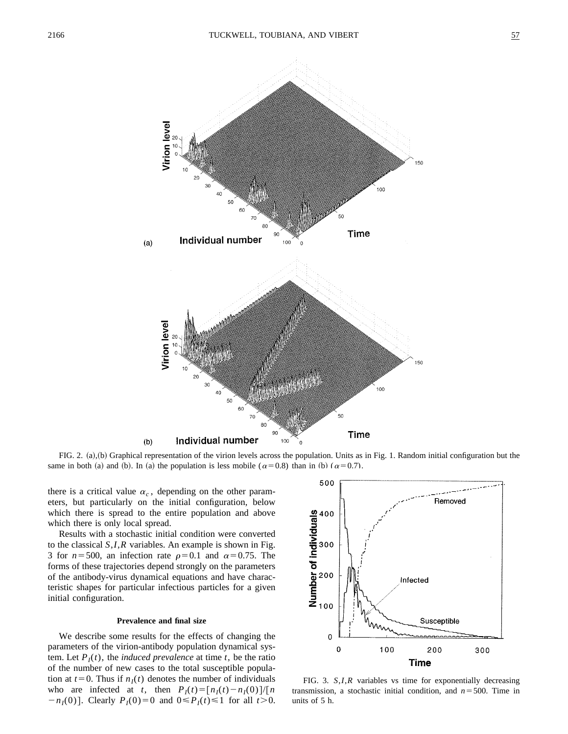

FIG. 2.  $(a)$ , $(b)$  Graphical representation of the virion levels across the population. Units as in Fig. 1. Random initial configuration but the same in both (a) and (b). In (a) the population is less mobile ( $\alpha$ =0.8) than in (b) ( $\alpha$ =0.7).

there is a critical value  $\alpha_c$ , depending on the other parameters, but particularly on the initial configuration, below which there is spread to the entire population and above which there is only local spread.

Results with a stochastic initial condition were converted to the classical *S*,*I*,*R* variables. An example is shown in Fig. 3 for  $n=500$ , an infection rate  $\rho=0.1$  and  $\alpha=0.75$ . The forms of these trajectories depend strongly on the parameters of the antibody-virus dynamical equations and have characteristic shapes for particular infectious particles for a given initial configuration.

# **Prevalence and final size**

We describe some results for the effects of changing the parameters of the virion-antibody population dynamical system. Let  $P_I(t)$ , the *induced prevalence* at time *t*, be the ratio of the number of new cases to the total susceptible population at  $t=0$ . Thus if  $n<sub>I</sub>(t)$  denotes the number of individuals who are infected at *t*, then  $P_I(t) = [n_I(t) - n_I(0)]/[n]$  $-n_1(0)$ . Clearly  $P_1(0)=0$  and  $0 \le P_1(t) \le 1$  for all  $t > 0$ .



FIG. 3. *S*,*I*,*R* variables vs time for exponentially decreasing transmission, a stochastic initial condition, and  $n = 500$ . Time in units of 5 h.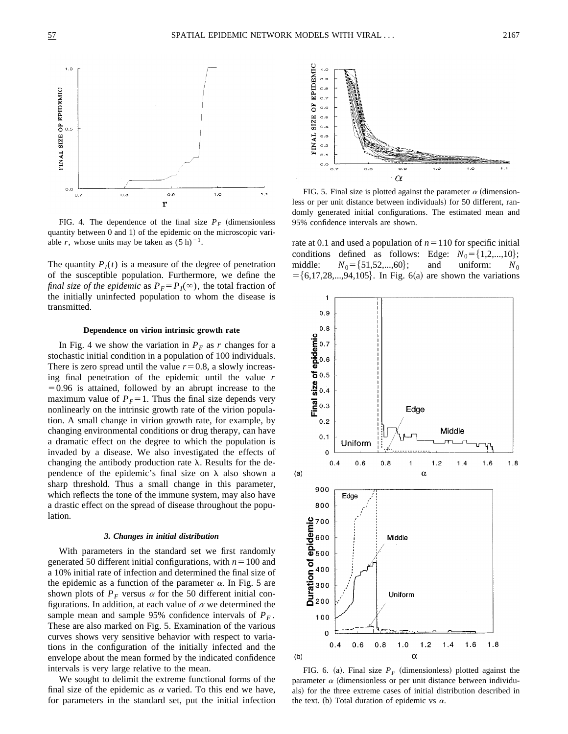

FIG. 4. The dependence of the final size  $P_F$  (dimensionless quantity between  $0$  and  $1$ ) of the epidemic on the microscopic variable *r*, whose units may be taken as  $(5 h)^{-1}$ .

The quantity  $P_I(t)$  is a measure of the degree of penetration of the susceptible population. Furthermore, we define the *final size of the epidemic* as  $P_F = P_I(\infty)$ , the total fraction of the initially uninfected population to whom the disease is transmitted.

### **Dependence on virion intrinsic growth rate**

In Fig. 4 we show the variation in  $P_F$  as *r* changes for a stochastic initial condition in a population of 100 individuals. There is zero spread until the value  $r=0.8$ , a slowly increasing final penetration of the epidemic until the value *r*  $=0.96$  is attained, followed by an abrupt increase to the maximum value of  $P_F = 1$ . Thus the final size depends very nonlinearly on the intrinsic growth rate of the virion population. A small change in virion growth rate, for example, by changing environmental conditions or drug therapy, can have a dramatic effect on the degree to which the population is invaded by a disease. We also investigated the effects of changing the antibody production rate  $\lambda$ . Results for the dependence of the epidemic's final size on  $\lambda$  also shown a sharp threshold. Thus a small change in this parameter, which reflects the tone of the immune system, may also have a drastic effect on the spread of disease throughout the population.

### *3. Changes in initial distribution*

With parameters in the standard set we first randomly generated 50 different initial configurations, with  $n = 100$  and a 10% initial rate of infection and determined the final size of the epidemic as a function of the parameter  $\alpha$ . In Fig. 5 are shown plots of  $P_F$  versus  $\alpha$  for the 50 different initial configurations. In addition, at each value of  $\alpha$  we determined the sample mean and sample 95% confidence intervals of  $P_F$ . These are also marked on Fig. 5. Examination of the various curves shows very sensitive behavior with respect to variations in the configuration of the initially infected and the envelope about the mean formed by the indicated confidence intervals is very large relative to the mean.

We sought to delimit the extreme functional forms of the final size of the epidemic as  $\alpha$  varied. To this end we have, for parameters in the standard set, put the initial infection



FIG. 5. Final size is plotted against the parameter  $\alpha$  (dimensionless or per unit distance between individuals) for 50 different, randomly generated initial configurations. The estimated mean and 95% confidence intervals are shown.

rate at 0.1 and used a population of  $n=110$  for specific initial conditions defined as follows: Edge:  $N_0 = \{1,2,...,10\}$ ;<br>middle:  $N_0 = \{51,52,...,60\}$ ; and uniform:  $N_0$  $N_0 = \{51, 52, ..., 60\};$  and uniform:  $N_0$  $= \{6,17,28,...,94,105\}$ . In Fig. 6(a) are shown the variations



FIG. 6. (a). Final size  $P_F$  (dimensionless) plotted against the parameter  $\alpha$  (dimensionless or per unit distance between individuals) for the three extreme cases of initial distribution described in the text. (b) Total duration of epidemic vs  $\alpha$ .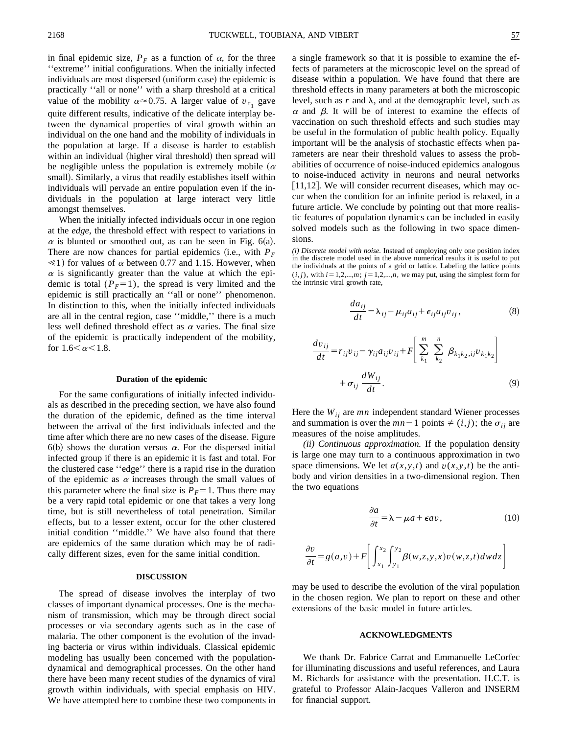in final epidemic size,  $P_F$  as a function of  $\alpha$ , for the three ''extreme'' initial configurations. When the initially infected individuals are most dispersed (uniform case) the epidemic is practically ''all or none'' with a sharp threshold at a critical value of the mobility  $\alpha \approx 0.75$ . A larger value of  $v_{c_1}$  gave quite different results, indicative of the delicate interplay between the dynamical properties of viral growth within an individual on the one hand and the mobility of individuals in the population at large. If a disease is harder to establish within an individual (higher viral threshold) then spread will be negligible unless the population is extremely mobile  $(\alpha)$ small). Similarly, a virus that readily establishes itself within individuals will pervade an entire population even if the individuals in the population at large interact very little amongst themselves.

When the initially infected individuals occur in one region at the *edge*, the threshold effect with respect to variations in  $\alpha$  is blunted or smoothed out, as can be seen in Fig. 6(a). There are now chances for partial epidemics (i.e., with  $P_F$  $\leq 1$ ) for values of  $\alpha$  between 0.77 and 1.15. However, when  $\alpha$  is significantly greater than the value at which the epidemic is total  $(P_F=1)$ , the spread is very limited and the epidemic is still practically an ''all or none'' phenomenon. In distinction to this, when the initially infected individuals are all in the central region, case ''middle,'' there is a much less well defined threshold effect as  $\alpha$  varies. The final size of the epidemic is practically independent of the mobility, for  $1.6 < \alpha < 1.8$ .

#### **Duration of the epidemic**

For the same configurations of initially infected individuals as described in the preceding section, we have also found the duration of the epidemic, defined as the time interval between the arrival of the first individuals infected and the time after which there are no new cases of the disease. Figure  $6(b)$  shows the duration versus  $\alpha$ . For the dispersed initial infected group if there is an epidemic it is fast and total. For the clustered case ''edge'' there is a rapid rise in the duration of the epidemic as  $\alpha$  increases through the small values of this parameter where the final size is  $P<sub>F</sub>=1$ . Thus there may be a very rapid total epidemic or one that takes a very long time, but is still nevertheless of total penetration. Similar effects, but to a lesser extent, occur for the other clustered initial condition ''middle.'' We have also found that there are epidemics of the same duration which may be of radically different sizes, even for the same initial condition.

#### **DISCUSSION**

The spread of disease involves the interplay of two classes of important dynamical processes. One is the mechanism of transmission, which may be through direct social processes or via secondary agents such as in the case of malaria. The other component is the evolution of the invading bacteria or virus within individuals. Classical epidemic modeling has usually been concerned with the populationdynamical and demographical processes. On the other hand there have been many recent studies of the dynamics of viral growth within individuals, with special emphasis on HIV. We have attempted here to combine these two components in a single framework so that it is possible to examine the effects of parameters at the microscopic level on the spread of disease within a population. We have found that there are threshold effects in many parameters at both the microscopic level, such as  $r$  and  $\lambda$ , and at the demographic level, such as  $\alpha$  and  $\beta$ . It will be of interest to examine the effects of vaccination on such threshold effects and such studies may be useful in the formulation of public health policy. Equally important will be the analysis of stochastic effects when parameters are near their threshold values to assess the probabilities of occurrence of noise-induced epidemics analogous to noise-induced activity in neurons and neural networks  $[11,12]$ . We will consider recurrent diseases, which may occur when the condition for an infinite period is relaxed, in a future article. We conclude by pointing out that more realistic features of population dynamics can be included in easily solved models such as the following in two space dimensions.

*(i) Discrete model with noise.* Instead of employing only one position index in the discrete model used in the above numerical results it is useful to put the individuals at the points of a grid or lattice. Labeling the lattice points  $(i, j)$ , with  $i = 1, 2, \ldots, m$ ;  $j = 1, 2, \ldots, n$ , we may put, using the simplest form for the intrinsic viral growth rate,

$$
\frac{da_{ij}}{dt} = \lambda_{ij} - \mu_{ij}a_{ij} + \epsilon_{ij}a_{ij}v_{ij},
$$
\n(8)

$$
\frac{dv_{ij}}{dt} = r_{ij}v_{ij} - \gamma_{ij}a_{ij}v_{ij} + F\left[\sum_{k_1}^{m} \sum_{k_2}^{n} \beta_{k_1k_2,ij}v_{k_1k_2}\right] + \sigma_{ij}\frac{dW_{ij}}{dt}.
$$
\n(9)

Here the  $W_{ij}$  are  $mn$  independent standard Wiener processes and summation is over the  $mn-1$  points  $\neq (i, j)$ ; the  $\sigma_{ij}$  are measures of the noise amplitudes.

*(ii) Continuous approximation.* If the population density is large one may turn to a continuous approximation in two space dimensions. We let  $a(x, y, t)$  and  $v(x, y, t)$  be the antibody and virion densities in a two-dimensional region. Then the two equations

$$
\frac{\partial a}{\partial t} = \lambda - \mu a + \epsilon a v, \qquad (10)
$$

$$
\frac{\partial v}{\partial t} = g(a,v) + F \left[ \int_{x_1}^{x_2} \int_{y_1}^{y_2} \beta(w,z,y,x) v(w,z,t) dw dz \right]
$$

may be used to describe the evolution of the viral population in the chosen region. We plan to report on these and other extensions of the basic model in future articles.

# **ACKNOWLEDGMENTS**

We thank Dr. Fabrice Carrat and Emmanuelle LeCorfec for illuminating discussions and useful references, and Laura M. Richards for assistance with the presentation. H.C.T. is grateful to Professor Alain-Jacques Valleron and INSERM for financial support.